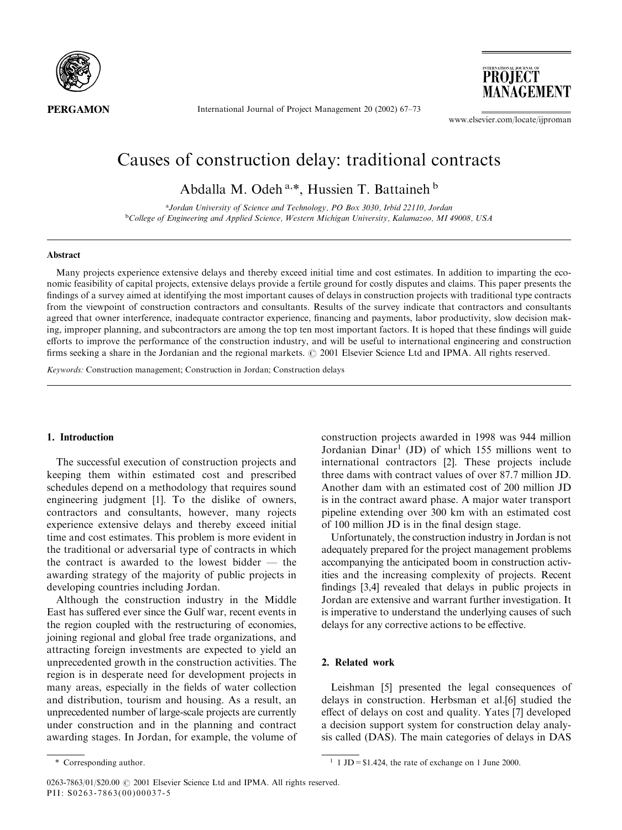

International Journal of Project Management 20 (2002) 67-73

**PROJECT** MANAGEMENT

www.elsevier.com/locate/ijproman

# Causes of construction delay: traditional contracts

Abdalla M. Odeh<sup>a,\*</sup>, Hussien T. Battaineh<sup>b</sup>

<sup>a</sup>Jordan University of Science and Technology, PO Box 3030, Irbid 22110, Jordan <sup>b</sup>College of Engineering and Applied Science, Western Michigan University, Kalamazoo, MI 49008, USA

### Abstract

Many projects experience extensive delays and thereby exceed initial time and cost estimates. In addition to imparting the economic feasibility of capital projects, extensive delays provide a fertile ground for costly disputes and claims. This paper presents the findings of a survey aimed at identifying the most important causes of delays in construction projects with traditional type contracts from the viewpoint of construction contractors and consultants. Results of the survey indicate that contractors and consultants agreed that owner interference, inadequate contractor experience, financing and payments, labor productivity, slow decision making, improper planning, and subcontractors are among the top ten most important factors. It is hoped that these findings will guide efforts to improve the performance of the construction industry, and will be useful to international engineering and construction firms seeking a share in the Jordanian and the regional markets. © 2001 Elsevier Science Ltd and IPMA. All rights reserved.

Keywords: Construction management; Construction in Jordan; Construction delays

#### 1. Introduction

The successful execution of construction projects and keeping them within estimated cost and prescribed schedules depend on a methodology that requires sound engineering judgment [1]. To the dislike of owners, contractors and consultants, however, many rojects experience extensive delays and thereby exceed initial time and cost estimates. This problem is more evident in the traditional or adversarial type of contracts in which the contract is awarded to the lowest bidder  $-$  the awarding strategy of the majority of public projects in developing countries including Jordan.

Although the construction industry in the Middle East has suffered ever since the Gulf war, recent events in the region coupled with the restructuring of economies, joining regional and global free trade organizations, and attracting foreign investments are expected to vield an unprecedented growth in the construction activities. The region is in desperate need for development projects in many areas, especially in the fields of water collection and distribution, tourism and housing. As a result, an unprecedented number of large-scale projects are currently under construction and in the planning and contract awarding stages. In Jordan, for example, the volume of construction projects awarded in 1998 was 944 million Jordanian Dinar<sup>1</sup> (JD) of which 155 millions went to international contractors [2]. These projects include three dams with contract values of over 87.7 million JD. Another dam with an estimated cost of 200 million JD is in the contract award phase. A major water transport pipeline extending over 300 km with an estimated cost of 100 million JD is in the final design stage.

Unfortunately, the construction industry in Jordan is not adequately prepared for the project management problems accompanying the anticipated boom in construction activities and the increasing complexity of projects. Recent findings [3,4] revealed that delays in public projects in Jordan are extensive and warrant further investigation. It is imperative to understand the underlying causes of such delays for any corrective actions to be effective.

# 2. Related work

Leishman [5] presented the legal consequences of delays in construction. Herbsman et al. [6] studied the effect of delays on cost and quality. Yates [7] developed a decision support system for construction delay analysis called (DAS). The main categories of delays in DAS

<sup>\*</sup> Corresponding author.

<sup>&</sup>lt;sup>1</sup> 1 JD = \$1.424, the rate of exchange on 1 June 2000.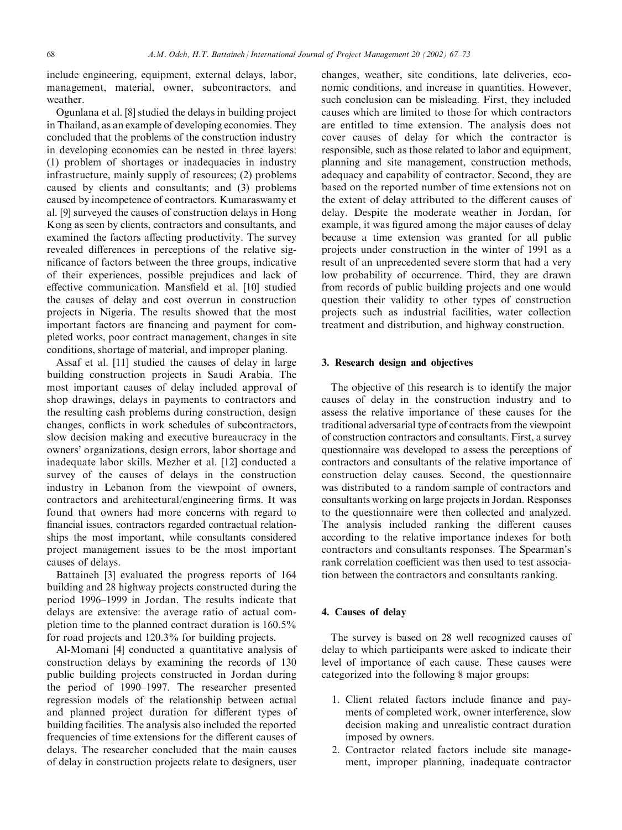include engineering, equipment, external delays, labor, management, material, owner, subcontractors, and weather.

Ogunlana et al. [8] studied the delays in building project in Thailand, as an example of developing economies. They concluded that the problems of the construction industry in developing economies can be nested in three layers: (1) problem of shortages or inadequacies in industry infrastructure, mainly supply of resources; (2) problems caused by clients and consultants; and (3) problems caused by incompetence of contractors. Kumaraswamy et al. [9] surveyed the causes of construction delays in Hong Kong as seen by clients, contractors and consultants, and examined the factors affecting productivity. The survey revealed differences in perceptions of the relative significance of factors between the three groups, indicative of their experiences, possible prejudices and lack of effective communication. Mansfield et al. [10] studied the causes of delay and cost overrun in construction projects in Nigeria. The results showed that the most important factors are financing and payment for completed works, poor contract management, changes in site conditions, shortage of material, and improper planing.

Assaf et al. [11] studied the causes of delay in large building construction projects in Saudi Arabia. The most important causes of delay included approval of shop drawings, delays in payments to contractors and the resulting cash problems during construction, design changes, conflicts in work schedules of subcontractors, slow decision making and executive bureaucracy in the owners' organizations, design errors, labor shortage and inadequate labor skills. Mezher et al. [12] conducted a survey of the causes of delays in the construction industry in Lebanon from the viewpoint of owners, contractors and architectural/engineering firms. It was found that owners had more concerns with regard to financial issues, contractors regarded contractual relationships the most important, while consultants considered project management issues to be the most important causes of delays.

Battaineh [3] evaluated the progress reports of 164 building and 28 highway projects constructed during the period 1996–1999 in Jordan. The results indicate that delays are extensive: the average ratio of actual completion time to the planned contract duration is  $160.5\%$ for road projects and 120.3% for building projects.

Al-Momani [4] conducted a quantitative analysis of construction delays by examining the records of 130 public building projects constructed in Jordan during the period of 1990–1997. The researcher presented regression models of the relationship between actual and planned project duration for different types of building facilities. The analysis also included the reported frequencies of time extensions for the different causes of delays. The researcher concluded that the main causes of delay in construction projects relate to designers, user changes, weather, site conditions, late deliveries, economic conditions, and increase in quantities. However, such conclusion can be misleading. First, they included causes which are limited to those for which contractors are entitled to time extension. The analysis does not cover causes of delay for which the contractor is responsible, such as those related to labor and equipment, planning and site management, construction methods, adequacy and capability of contractor. Second, they are based on the reported number of time extensions not on the extent of delay attributed to the different causes of delay. Despite the moderate weather in Jordan, for example, it was figured among the major causes of delay because a time extension was granted for all public projects under construction in the winter of 1991 as a result of an unprecedented severe storm that had a very low probability of occurrence. Third, they are drawn from records of public building projects and one would question their validity to other types of construction projects such as industrial facilities, water collection treatment and distribution, and highway construction.

#### 3. Research design and objectives

The objective of this research is to identify the major causes of delay in the construction industry and to assess the relative importance of these causes for the traditional adversarial type of contracts from the viewpoint of construction contractors and consultants. First, a survey questionnaire was developed to assess the perceptions of contractors and consultants of the relative importance of construction delay causes. Second, the questionnaire was distributed to a random sample of contractors and consultants working on large projects in Jordan. Responses to the questionnaire were then collected and analyzed. The analysis included ranking the different causes according to the relative importance indexes for both contractors and consultants responses. The Spearman's rank correlation coefficient was then used to test association between the contractors and consultants ranking.

# 4. Causes of delay

The survey is based on 28 well recognized causes of delay to which participants were asked to indicate their level of importance of each cause. These causes were categorized into the following 8 major groups:

- 1. Client related factors include finance and payments of completed work, owner interference, slow decision making and unrealistic contract duration imposed by owners.
- 2. Contractor related factors include site management, improper planning, inadequate contractor